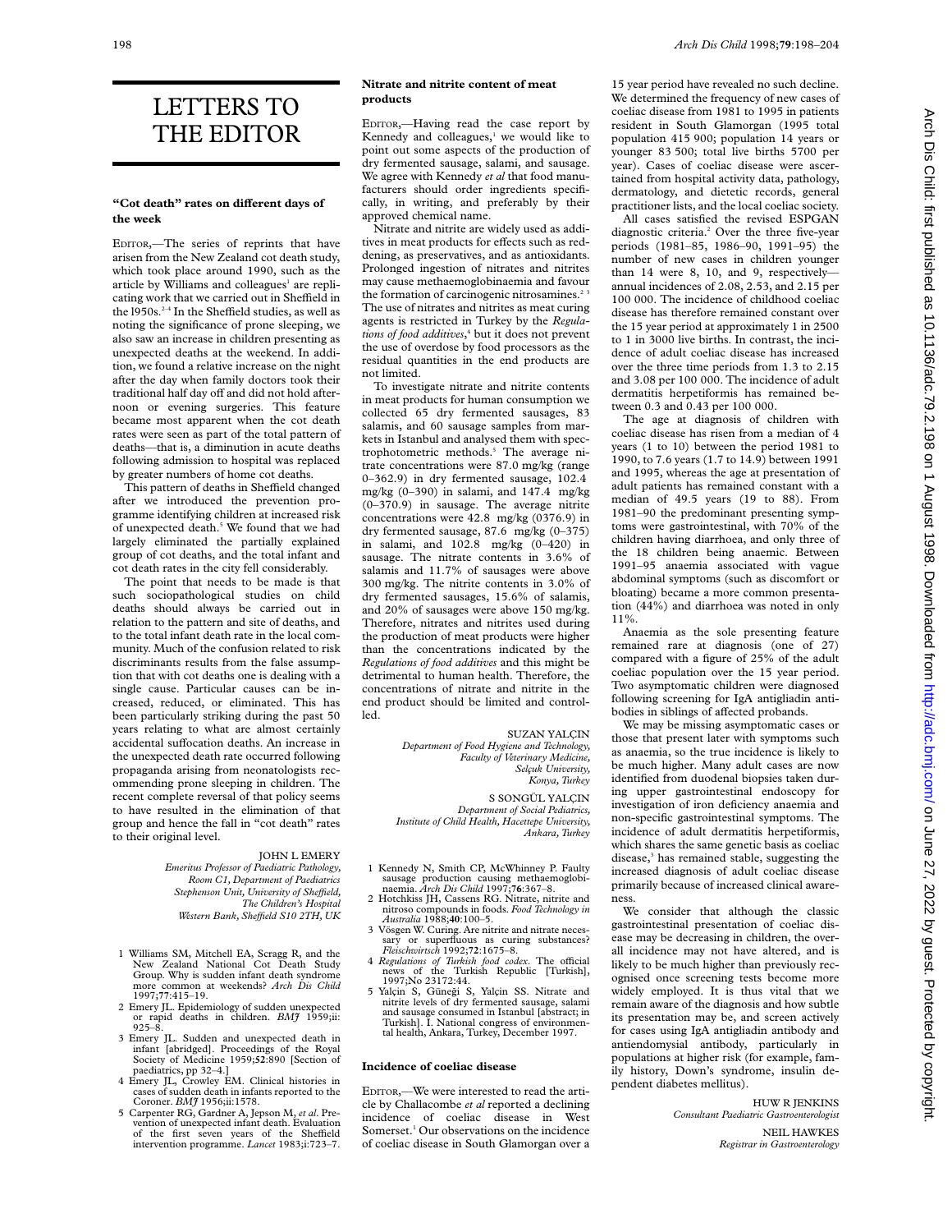# LETTERS TO THE EDITOR

## "Cot death" rates on different days of **the week**

EDITOR,—The series of reprints that have arisen from the New Zealand cot death study, which took place around 1990, such as the article by Williams and colleagues<sup>1</sup> are replicating work that we carried out in Sheffield in the l950s. $2-4$  In the Sheffield studies, as well as noting the significance of prone sleeping, we also saw an increase in children presenting as unexpected deaths at the weekend. In addition, we found a relative increase on the night after the day when family doctors took their traditional half day off and did not hold afternoon or evening surgeries. This feature became most apparent when the cot death rates were seen as part of the total pattern of deaths—that is, a diminution in acute deaths following admission to hospital was replaced by greater numbers of home cot deaths.

This pattern of deaths in Sheffield changed after we introduced the prevention programme identifying children at increased risk of unexpected death.<sup>5</sup> We found that we had largely eliminated the partially explained group of cot deaths, and the total infant and cot death rates in the city fell considerably.

The point that needs to be made is that such sociopathological studies on child deaths should always be carried out in relation to the pattern and site of deaths, and to the total infant death rate in the local community. Much of the confusion related to risk discriminants results from the false assumption that with cot deaths one is dealing with a single cause. Particular causes can be increased, reduced, or eliminated. This has been particularly striking during the past 50 years relating to what are almost certainly accidental suffocation deaths. An increase in the unexpected death rate occurred following propaganda arising from neonatologists recommending prone sleeping in children. The recent complete reversal of that policy seems to have resulted in the elimination of that group and hence the fall in "cot death" rates to their original level.

#### JOHN L EMERY

*Emeritus Professor of Paediatric Pathology, Room C1, Department of Paediatrics*  $Stephenson$  *Unit*, *University of Sheffield*, *The Children's Hospital Western Bank, SheYeld S10 2TH, UK*

- 1 Williams SM, Mitchell EA, Scragg R, and the New Zealand National Cot Death Study Group. Why is sudden infant death syndrome more common at weekends? *Arch Dis Child* 1997;**77**:415–19.
- 2 Emery JL. Epidemiology of sudden unexpected or rapid deaths in children. *BMJ* 1959;ii: 925–8.
- 3 Emery JL. Sudden and unexpected death in infant [abridged]. Proceedings of the Royal Society of Medicine 1959;**52**:890 [Section of paediatrics, pp 32–4.] 4 Emery JL, Crowley EM. Clinical histories in
- cases of sudden death in infants reported to the Coroner. *BMJ* 1956;ii:1578.
- 5 Carpenter RG, Gardner A, Jepson M, *et al*. Prevention of unexpected infant death. Evaluation of the first seven years of the Sheffield intervention programme. *Lancet* 1983;i:723–7.

## **Nitrate and nitrite content of meat products**

EDITOR,—Having read the case report by Kennedy and colleagues,<sup>1</sup> we would like to point out some aspects of the production of dry fermented sausage, salami, and sausage. We agree with Kennedy *et al* that food manufacturers should order ingredients specifically, in writing, and preferably by their approved chemical name.

Nitrate and nitrite are widely used as additives in meat products for effects such as reddening, as preservatives, and as antioxidants. Prolonged ingestion of nitrates and nitrites may cause methaemoglobinaemia and favour the formation of carcinogenic nitrosamines.<sup>2</sup> The use of nitrates and nitrites as meat curing agents is restricted in Turkey by the *Regulations of food additives*, <sup>4</sup> but it does not prevent the use of overdose by food processors as the residual quantities in the end products are not limited.

To investigate nitrate and nitrite contents in meat products for human consumption we collected 65 dry fermented sausages, 83 salamis, and 60 sausage samples from markets in Istanbul and analysed them with spectrophotometric methods.<sup>5</sup> The average nitrate concentrations were 87.0 mg/kg (range 0–362.9) in dry fermented sausage, 102.4 mg/kg (0–390) in salami, and 147.4 mg/kg (0–370.9) in sausage. The average nitrite concentrations were 42.8 mg/kg (0376.9) in dry fermented sausage, 87.6 mg/kg (0–375) in salami, and 102.8 mg/kg (0–420) in sausage. The nitrate contents in 3.6% of salamis and 11.7% of sausages were above 300 mg/kg. The nitrite contents in 3.0% of dry fermented sausages, 15.6% of salamis, and 20% of sausages were above 150 mg/kg. Therefore, nitrates and nitrites used during the production of meat products were higher than the concentrations indicated by the *Regulations of food additives* and this might be detrimental to human health. Therefore, the concentrations of nitrate and nitrite in the end product should be limited and controlled.

> SUZAN YALÇIN *Department of Food Hygiene and Technology, Faculty of Veterinary Medicine, Selçuk University, Konya, Turkey* S SONGÜL YALÇIN *Department of Social Pediatrics, Institute of Child Health, Hacettepe University, Ankara, Turkey*

- 1 Kennedy N, Smith CP, McWhinney P. Faulty sausage production causing methaemoglobi-naemia. *Arch Dis Child* 1997;**76**:367–8. 2 Hotchkiss JH, Cassens RG. Nitrate, nitrite and
- nitroso compounds in foods. *Food Technology in Australia* 1988;**40**:100–5.
- 3 Vösgen W. Curing. Are nitrite and nitrate neces-sary or superfluous as curing substances? *Fleischwirtsch* 1992;**72**:1675–8.
- 4 *Regulations of Turkish food codex*. The official news of the Turkish Republic [Turkish], 1997;No 23172:44.
- 5 Yalçin S, Güneği S, Yalçin SS. Nitrate and nitrite levels of dry fermented sausage, salami and sausage consumed in Istanbul [abstract; in Turkish]. I. National congress of environmental health, Ankara, Turkey, December 1997.

#### **Incidence of coeliac disease**

EDITOR,—We were interested to read the article by Challacombe *et al* reported a declining incidence of coeliac disease in West Somerset.<sup>1</sup> Our observations on the incidence of coeliac disease in South Glamorgan over a

15 year period have revealed no such decline. We determined the frequency of new cases of coeliac disease from 1981 to 1995 in patients resident in South Glamorgan (1995 total population 415 900; population 14 years or younger 83 500; total live births 5700 per year). Cases of coeliac disease were ascertained from hospital activity data, pathology, dermatology, and dietetic records, general practitioner lists, and the local coeliac society.

All cases satisfied the revised ESPGAN diagnostic criteria.<sup>2</sup> Over the three five-year periods (1981–85, 1986–90, 1991–95) the number of new cases in children younger than 14 were 8, 10, and 9, respectively annual incidences of 2.08, 2.53, and 2.15 per 100 000. The incidence of childhood coeliac disease has therefore remained constant over the 15 year period at approximately 1 in 2500 to 1 in 3000 live births. In contrast, the incidence of adult coeliac disease has increased over the three time periods from 1.3 to 2.15 and 3.08 per 100 000. The incidence of adult dermatitis herpetiformis has remained between 0.3 and 0.43 per 100 000.

The age at diagnosis of children with coeliac disease has risen from a median of 4 years (1 to 10) between the period 1981 to 1990, to 7.6 years (1.7 to 14.9) between 1991 and 1995, whereas the age at presentation of adult patients has remained constant with a median of 49.5 years (19 to 88). From 1981–90 the predominant presenting symptoms were gastrointestinal, with 70% of the children having diarrhoea, and only three of the 18 children being anaemic. Between 1991–95 anaemia associated with vague abdominal symptoms (such as discomfort or bloating) became a more common presentation (44%) and diarrhoea was noted in only 11%.

Anaemia as the sole presenting feature remained rare at diagnosis (one of 27) compared with a figure of 25% of the adult coeliac population over the 15 year period. Two asymptomatic children were diagnosed following screening for IgA antigliadin antibodies in siblings of affected probands.

We may be missing asymptomatic cases or those that present later with symptoms such as anaemia, so the true incidence is likely to be much higher. Many adult cases are now identified from duodenal biopsies taken during upper gastrointestinal endoscopy for investigation of iron deficiency anaemia and non-specific gastrointestinal symptoms. The incidence of adult dermatitis herpetiformis, which shares the same genetic basis as coeliac disease,<sup>3</sup> has remained stable, suggesting the increased diagnosis of adult coeliac disease primarily because of increased clinical awareness.

We consider that although the classic gastrointestinal presentation of coeliac disease may be decreasing in children, the overall incidence may not have altered, and is likely to be much higher than previously recognised once screening tests become more widely employed. It is thus vital that we remain aware of the diagnosis and how subtle its presentation may be, and screen actively for cases using IgA antigliadin antibody and antiendomysial antibody, particularly in populations at higher risk (for example, family history, Down's syndrome, insulin dependent diabetes mellitus).

> HUW R JENKINS *Consultant Paediatric Gastroenterologist*

> > NEIL HAWKES *Registrar in Gastroenterology*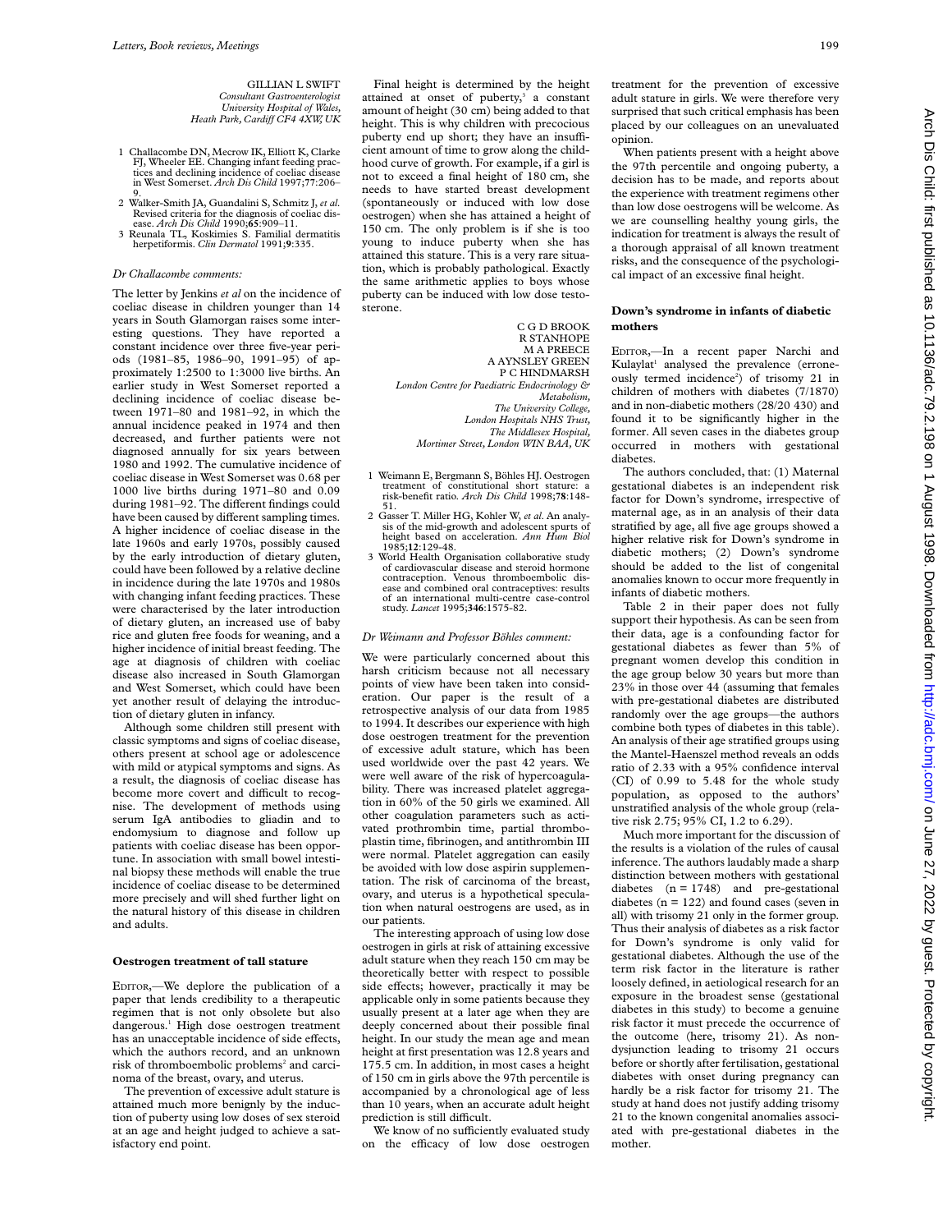#### GILLIAN L SWIFT *Consultant Gastroenterologist University Hospital of Wales, Heath Park, CardiV CF4 4XW, UK*

- 1 Challacombe DN, Mecrow IK, Elliott K, Clarke FJ, Wheeler EE. Changing infant feeding prac-tices and declining incidence of coeliac disease in West Somerset. *Arch Dis Child* 1997;**77**:206–
- 9. 2 Walker-Smith JA, Guandalini S, Schmitz J, *et al*. Revised criteria for the diagnosis of coeliac dis-
- ease. *Arch Dis Child* 1990;**65**:909–11. 3 Reunala TL, Koskimies S. Familial dermatitis herpetiformis. *Clin Dermatol* 1991;**9**:335.

#### *Dr Challacombe comments:*

The letter by Jenkins *et al* on the incidence of coeliac disease in children younger than 14 years in South Glamorgan raises some interesting questions. They have reported a constant incidence over three five-year periods (1981–85, 1986–90, 1991–95) of approximately 1:2500 to 1:3000 live births. An earlier study in West Somerset reported a declining incidence of coeliac disease between 1971–80 and 1981–92, in which the annual incidence peaked in 1974 and then decreased, and further patients were not diagnosed annually for six years between 1980 and 1992. The cumulative incidence of coeliac disease in West Somerset was 0.68 per 1000 live births during 1971–80 and 0.09 during 1981-92. The different findings could have been caused by different sampling times. A higher incidence of coeliac disease in the late 1960s and early 1970s, possibly caused by the early introduction of dietary gluten, could have been followed by a relative decline in incidence during the late 1970s and 1980s with changing infant feeding practices. These were characterised by the later introduction of dietary gluten, an increased use of baby rice and gluten free foods for weaning, and a higher incidence of initial breast feeding. The age at diagnosis of children with coeliac disease also increased in South Glamorgan and West Somerset, which could have been yet another result of delaying the introduction of dietary gluten in infancy.

Although some children still present with classic symptoms and signs of coeliac disease, others present at school age or adolescence with mild or atypical symptoms and signs. As a result, the diagnosis of coeliac disease has become more covert and difficult to recognise. The development of methods using serum IgA antibodies to gliadin and to endomysium to diagnose and follow up patients with coeliac disease has been opportune. In association with small bowel intestinal biopsy these methods will enable the true incidence of coeliac disease to be determined more precisely and will shed further light on the natural history of this disease in children and adults.

#### **Oestrogen treatment of tall stature**

EDITOR,—We deplore the publication of a paper that lends credibility to a therapeutic regimen that is not only obsolete but also dangerous.<sup>1</sup> High dose oestrogen treatment has an unacceptable incidence of side effects, which the authors record, and an unknown risk of thromboembolic problems<sup>2</sup> and carcinoma of the breast, ovary, and uterus.

The prevention of excessive adult stature is attained much more benignly by the induction of puberty using low doses of sex steroid at an age and height judged to achieve a satisfactory end point.

Final height is determined by the height attained at onset of puberty, $3$  a constant amount of height (30 cm) being added to that height. This is why children with precocious puberty end up short; they have an insufficient amount of time to grow along the childhood curve of growth. For example, if a girl is not to exceed a final height of 180 cm, she needs to have started breast development (spontaneously or induced with low dose oestrogen) when she has attained a height of 150 cm. The only problem is if she is too young to induce puberty when she has attained this stature. This is a very rare situation, which is probably pathological. Exactly the same arithmetic applies to boys whose puberty can be induced with low dose testosterone.

> C G D BROOK R STANHOPE M A PREECE A AYNSLEY GREEN P C HINDMARSH *London Centre for Paediatric Endocrinology & Metabolism, The University College, London Hospitals NHS Trust, The Middlesex Hospital, Mortimer Street, London WIN BAA, UK*

- 1 Weimann E, Bergmann S, Böhles HJ. Oestrogen treatment of constitutional short stature risk-benefit ratio. *Arch Dis Child* 1998;**78**:148- 51.
- 2 Gasser T. Miller HG, Kohler W, *et al*. An analy-sis of the mid-growth and adolescent spurts of height based on acceleration. *Ann Hum Biol* 1985;**12**:129-48.
- 3 World Health Organisation collaborative study of cardiovascular disease and steroid hormone contraception. Venous thromboembolic disease and combined oral contraceptives: results of an international multi-centre case-control study. *Lancet* 1995;**346**:1575-82.

#### *Dr Weimann and Professor Böhles comment:*

We were particularly concerned about this harsh criticism because not all necessary points of view have been taken into consideration. Our paper is the result of a retrospective analysis of our data from 1985 to 1994. It describes our experience with high dose oestrogen treatment for the prevention of excessive adult stature, which has been used worldwide over the past 42 years. We were well aware of the risk of hypercoagulability. There was increased platelet aggregation in 60% of the 50 girls we examined. All other coagulation parameters such as activated prothrombin time, partial thromboplastin time, fibrinogen, and antithrombin III were normal. Platelet aggregation can easily be avoided with low dose aspirin supplementation. The risk of carcinoma of the breast, ovary, and uterus is a hypothetical speculation when natural oestrogens are used, as in our patients.

The interesting approach of using low dose oestrogen in girls at risk of attaining excessive adult stature when they reach 150 cm may be theoretically better with respect to possible side effects; however, practically it may be applicable only in some patients because they usually present at a later age when they are deeply concerned about their possible final height. In our study the mean age and mean height at first presentation was 12.8 years and 175.5 cm. In addition, in most cases a height of 150 cm in girls above the 97th percentile is accompanied by a chronological age of less than 10 years, when an accurate adult height prediction is still difficult.

We know of no sufficiently evaluated study on the efficacy of low dose oestrogen treatment for the prevention of excessive adult stature in girls. We were therefore very surprised that such critical emphasis has been placed by our colleagues on an unevaluated opinion.

When patients present with a height above the 97th percentile and ongoing puberty, a decision has to be made, and reports about the experience with treatment regimens other than low dose oestrogens will be welcome. As we are counselling healthy young girls, the indication for treatment is always the result of a thorough appraisal of all known treatment risks, and the consequence of the psychological impact of an excessive final height.

#### **Down's syndrome in infants of diabetic mothers**

EDITOR,—In a recent paper Narchi and Kulaylat<sup>1</sup> analysed the prevalence (erroneously termed incidence<sup>2</sup>) of trisomy 21 in children of mothers with diabetes (7/1870) and in non-diabetic mothers (28/20 430) and found it to be significantly higher in the former. All seven cases in the diabetes group occurred in mothers with gestational diabetes.

The authors concluded, that: (1) Maternal gestational diabetes is an independent risk factor for Down's syndrome, irrespective of maternal age, as in an analysis of their data stratified by age, all five age groups showed a higher relative risk for Down's syndrome in diabetic mothers; (2) Down's syndrome should be added to the list of congenital anomalies known to occur more frequently in infants of diabetic mothers.

Table 2 in their paper does not fully support their hypothesis. As can be seen from their data, age is a confounding factor for gestational diabetes as fewer than 5% of pregnant women develop this condition in the age group below 30 years but more than 23% in those over 44 (assuming that females with pre-gestational diabetes are distributed randomly over the age groups—the authors combine both types of diabetes in this table). An analysis of their age stratified groups using the Mantel-Haenszel method reveals an odds ratio of 2.33 with a 95% confidence interval (CI) of 0.99 to 5.48 for the whole study population, as opposed to the authors' unstratified analysis of the whole group (relative risk 2.75; 95% CI, 1.2 to 6.29).

Much more important for the discussion of the results is a violation of the rules of causal inference. The authors laudably made a sharp distinction between mothers with gestational diabetes  $(n = 1748)$  and pre-gestational diabetes ( $n = 122$ ) and found cases (seven in all) with trisomy 21 only in the former group. Thus their analysis of diabetes as a risk factor for Down's syndrome is only valid for gestational diabetes. Although the use of the term risk factor in the literature is rather loosely defined, in aetiological research for an exposure in the broadest sense (gestational diabetes in this study) to become a genuine risk factor it must precede the occurrence of the outcome (here, trisomy 21). As nondysjunction leading to trisomy 21 occurs before or shortly after fertilisation, gestational diabetes with onset during pregnancy can hardly be a risk factor for trisomy 21. The study at hand does not justify adding trisomy 21 to the known congenital anomalies associated with pre-gestational diabetes in the mother.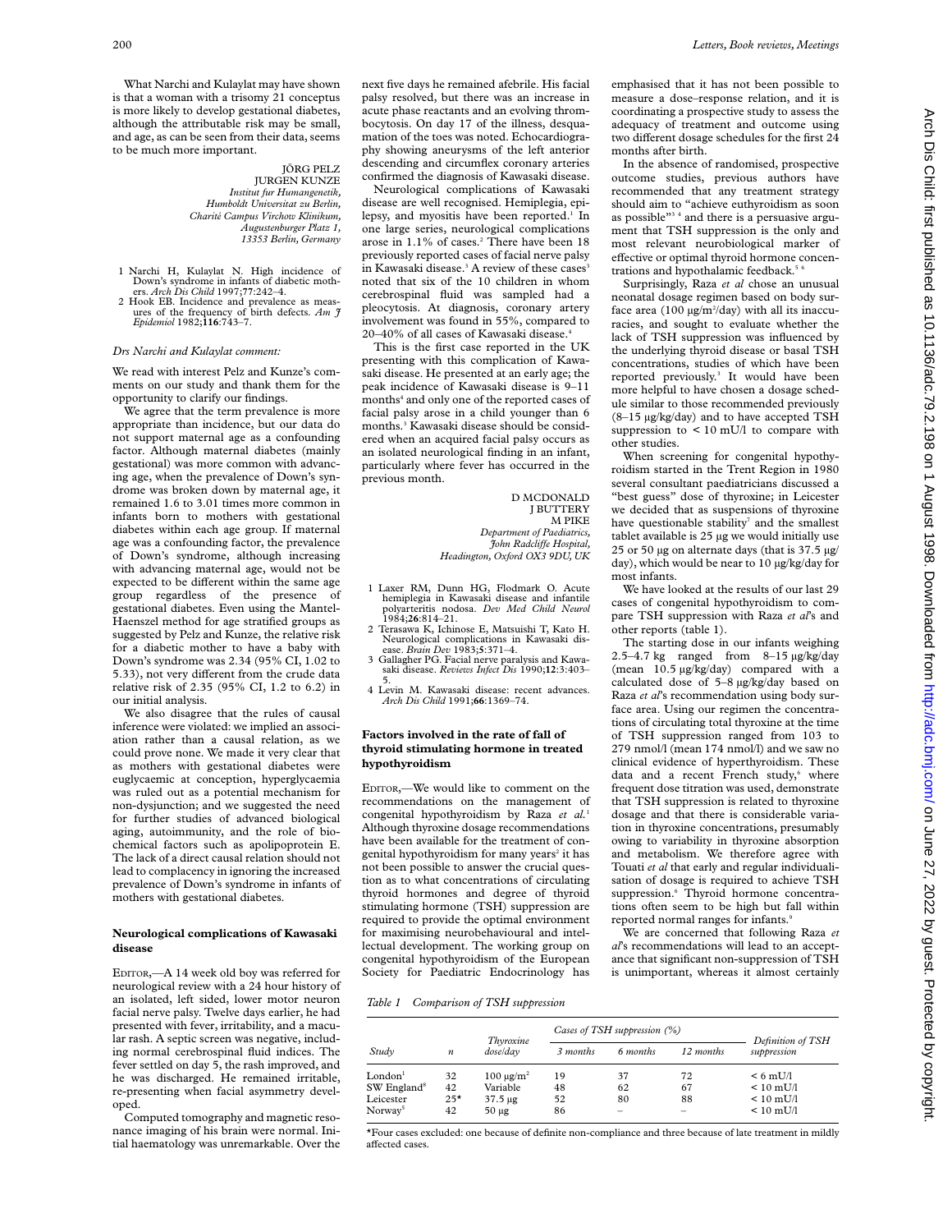What Narchi and Kulaylat may have shown is that a woman with a trisomy 21 conceptus is more likely to develop gestational diabetes, although the attributable risk may be small, and age, as can be seen from their data, seems to be much more important.

> JÖRG PELZ JURGEN KUNZE *Institut fur Humangenetik, Humboldt Universitat zu Berlin, Charité Campus Virchow Klinikum, Augustenburger Platz 1, 13353 Berlin, Germany*

- 1 Narchi H, Kulaylat N. High incidence of Down's syndrome in infants of diabetic moth-ers. *Arch Dis Child* 1997;**77**:242–4.
- 2 Hook EB. Incidence and prevalence as meas-ures of the frequency of birth defects. *Am J Epidemiol* 1982;**116**:743–7.

## *Drs Narchi and Kulaylat comment:*

We read with interest Pelz and Kunze's comments on our study and thank them for the opportunity to clarify our findings.

We agree that the term prevalence is more appropriate than incidence, but our data do not support maternal age as a confounding factor. Although maternal diabetes (mainly gestational) was more common with advancing age, when the prevalence of Down's syndrome was broken down by maternal age, it remained 1.6 to 3.01 times more common in infants born to mothers with gestational diabetes within each age group. If maternal age was a confounding factor, the prevalence of Down's syndrome, although increasing with advancing maternal age, would not be expected to be different within the same age group regardless of the presence of gestational diabetes. Even using the Mantel-Haenszel method for age stratified groups as suggested by Pelz and Kunze, the relative risk for a diabetic mother to have a baby with Down's syndrome was 2.34 (95% CI, 1.02 to 5.33), not very different from the crude data relative risk of 2.35 (95% CI, 1.2 to 6.2) in our initial analysis.

We also disagree that the rules of causal inference were violated: we implied an association rather than a causal relation, as we could prove none. We made it very clear that as mothers with gestational diabetes were euglycaemic at conception, hyperglycaemia was ruled out as a potential mechanism for non-dysjunction; and we suggested the need for further studies of advanced biological aging, autoimmunity, and the role of biochemical factors such as apolipoprotein E. The lack of a direct causal relation should not lead to complacency in ignoring the increased prevalence of Down's syndrome in infants of mothers with gestational diabetes.

#### **Neurological complications of Kawasaki disease**

EDITOR,—A 14 week old boy was referred for neurological review with a 24 hour history of an isolated, left sided, lower motor neuron facial nerve palsy. Twelve days earlier, he had presented with fever, irritability, and a macular rash. A septic screen was negative, including normal cerebrospinal fluid indices. The fever settled on day 5, the rash improved, and he was discharged. He remained irritable, re-presenting when facial asymmetry developed.

Computed tomography and magnetic resonance imaging of his brain were normal. Initial haematology was unremarkable. Over the next five days he remained afebrile. His facial palsy resolved, but there was an increase in acute phase reactants and an evolving thrombocytosis. On day 17 of the illness, desquamation of the toes was noted. Echocardiography showing aneurysms of the left anterior descending and circumflex coronary arteries confirmed the diagnosis of Kawasaki disease.

Neurological complications of Kawasaki disease are well recognised. Hemiplegia, epilepsy, and myositis have been reported.<sup>1</sup> In one large series, neurological complications arose in 1.1% of cases.<sup>2</sup> There have been 18 previously reported cases of facial nerve palsy in Kawasaki disease.<sup>3</sup> A review of these cases<sup>3</sup> noted that six of the 10 children in whom cerebrospinal fluid was sampled had a pleocytosis. At diagnosis, coronary artery involvement was found in 55%, compared to 20–40% of all cases of Kawasaki disease.<sup>4</sup>

This is the first case reported in the UK presenting with this complication of Kawasaki disease. He presented at an early age; the peak incidence of Kawasaki disease is 9–11 months<sup>4</sup> and only one of the reported cases of facial palsy arose in a child younger than 6 months.3 Kawasaki disease should be considered when an acquired facial palsy occurs as an isolated neurological finding in an infant, particularly where fever has occurred in the previous month.

> D MCDONALD J BUTTERY M PIKE *Department of Paediatrics,*  $John$  Radcliffe Hospital, *Headington, Oxford OX3 9DU, UK*

- 1 Laxer RM, Dunn HG, Flodmark O. Acute hemiplegia in Kawasaki disease and infantile polyarteritis nodosa. *Dev Med Child Neurol* 1984;**26**:814–21.
- 2 Terasawa K, Ichinose E, Matsuishi T, Kato H. Neurological complications in Kawasaki dis-ease. *Brain Dev* 1983;**5**:371–4.
- 3 Gallagher PG. Facial nerve paralysis and Kawa-saki disease. *Reviews Infect Dis* 1990;**12**:3:403– 5.
- 4 Levin M. Kawasaki disease: recent advances. *Arch Dis Child* 1991;**66**:1369–74.

## **Factors involved in the rate of fall of thyroid stimulating hormone in treated hypothyroidism**

EDITOR,—We would like to comment on the recommendations on the management of congenital hypothyroidism by Raza *et al.*<sup>1</sup> Although thyroxine dosage recommendations have been available for the treatment of congenital hypothyroidism for many years<sup>2</sup> it has not been possible to answer the crucial question as to what concentrations of circulating thyroid hormones and degree of thyroid stimulating hormone (TSH) suppression are required to provide the optimal environment for maximising neurobehavioural and intellectual development. The working group on congenital hypothyroidism of the European Society for Paediatric Endocrinology has

emphasised that it has not been possible to measure a dose–response relation, and it is coordinating a prospective study to assess the adequacy of treatment and outcome using two different dosage schedules for the first 24 months after birth.

In the absence of randomised, prospective outcome studies, previous authors have recommended that any treatment strategy should aim to "achieve euthyroidism as soon as possible"3 4 and there is a persuasive argument that TSH suppression is the only and most relevant neurobiological marker of effective or optimal thyroid hormone concentrations and hypothalamic feedback.<sup>5</sup>

Surprisingly, Raza *et al* chose an unusual neonatal dosage regimen based on body surface area  $(100 \mu g/m^2/day)$  with all its inaccuracies, and sought to evaluate whether the lack of TSH suppression was influenced by the underlying thyroid disease or basal TSH concentrations, studies of which have been reported previously.<sup>3</sup> It would have been more helpful to have chosen a dosage schedule similar to those recommended previously (8–15 µg/kg/day) and to have accepted TSH suppression to < 10 mU/l to compare with other studies.

When screening for congenital hypothyroidism started in the Trent Region in 1980 several consultant paediatricians discussed a "best guess" dose of thyroxine; in Leicester we decided that as suspensions of thyroxine have questionable stability<sup>7</sup> and the smallest tablet available is 25 µg we would initially use 25 or 50 µg on alternate days (that is 37.5 µg/ day), which would be near to 10 µg/kg/day for most infants.

We have looked at the results of our last 29 cases of congenital hypothyroidism to compare TSH suppression with Raza *et al*'s and other reports (table 1).

The starting dose in our infants weighing 2.5–4.7 kg ranged from 8–15 µg/kg/day (mean 10.5 µg/kg/day) compared with a calculated dose of 5–8 µg/kg/day based on Raza *et al*'s recommendation using body surface area. Using our regimen the concentrations of circulating total thyroxine at the time of TSH suppression ranged from 103 to 279 nmol/l (mean 174 nmol/l) and we saw no clinical evidence of hyperthyroidism. These data and a recent French study,<sup>6</sup> where frequent dose titration was used, demonstrate that TSH suppression is related to thyroxine dosage and that there is considerable variation in thyroxine concentrations, presumably owing to variability in thyroxine absorption and metabolism. We therefore agree with Touati *et al* that early and regular individualisation of dosage is required to achieve TSH suppression.<sup>6</sup> Thyroid hormone concentrations often seem to be high but fall within reported normal ranges for infants.<sup>9</sup>

We are concerned that following Raza *et al*'s recommendations will lead to an acceptance that significant non-suppression of TSH is unimportant, whereas it almost certainly

### *Table 1 Comparison of TSH suppression*

|                         | $\boldsymbol{n}$ | Thyroxine<br>dose/day | Cases of TSH suppression (%) |          |           |                                  |
|-------------------------|------------------|-----------------------|------------------------------|----------|-----------|----------------------------------|
| Study                   |                  |                       | 3 months                     | 6 months | 12 months | Definition of TSH<br>suppression |
| London <sup>1</sup>     | 32               | $100 \text{ µg/m}^2$  | 19                           | 37       | 72        | $< 6$ mU/l                       |
| SW England <sup>8</sup> | 42               | Variable              | 48                           | 62       | 67        | $< 10$ mU/l                      |
| Leicester               | $25*$            | $37.5 \text{ µg}$     | 52                           | 80       | 88        | $< 10$ mU/l                      |
| Norway <sup>5</sup>     | 42               | $50 \mu g$            | 86                           |          |           | $< 10$ mU/l                      |

\*Four cases excluded: one because of definite non-compliance and three because of late treatment in mildly affected cases.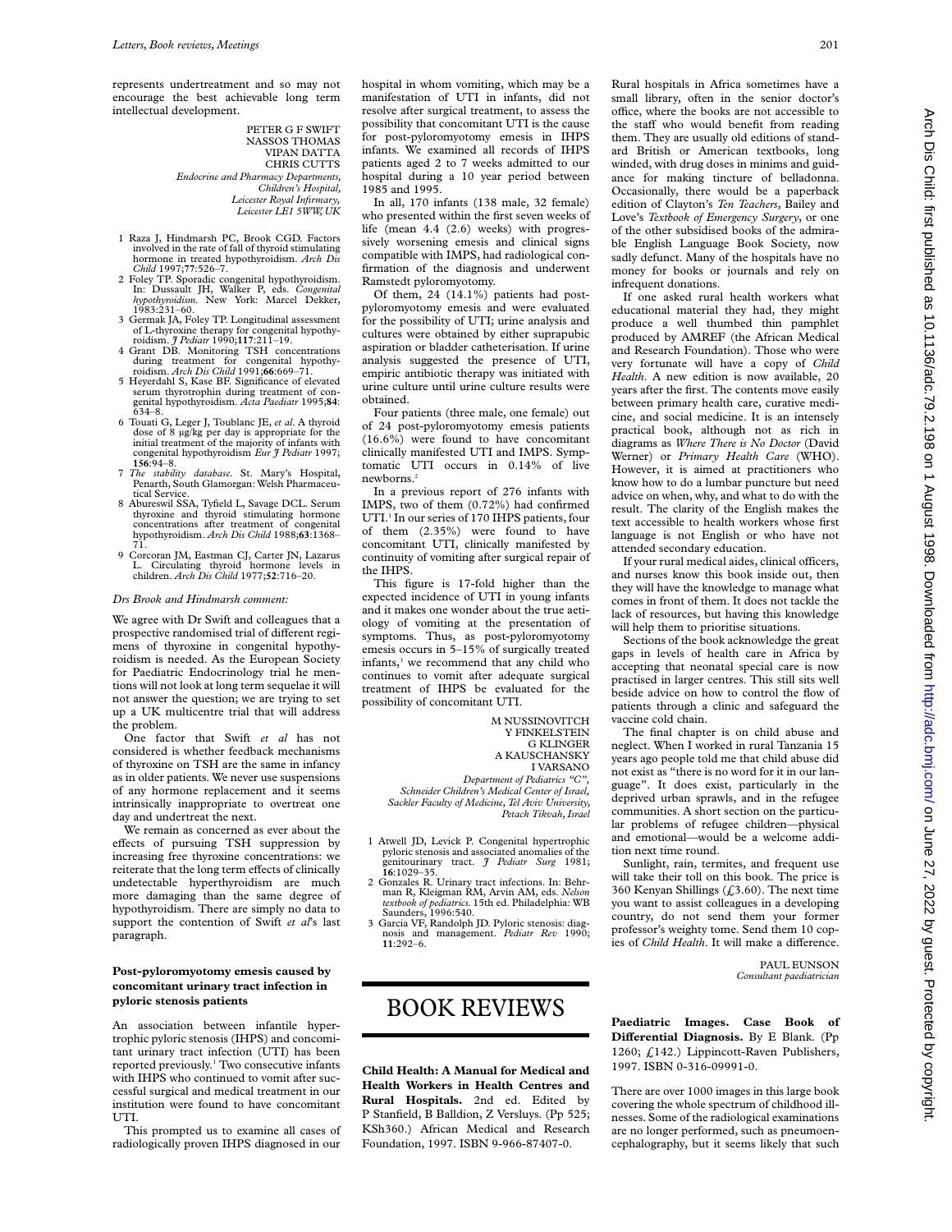represents undertreatment and so may not encourage the best achievable long term intellectual development.

> PETER G F SWIFT NASSOS THOMAS VIPAN DATTA CHRIS CUTTS *Endocrine and Pharmacy Departments, Children's Hospital, Leicester Royal Infirmary, Leicester LE1 5WW, UK*

- 1 Raza J, Hindmarsh PC, Brook CGD. Factors involved in the rate of fall of thyroid stimulating hormone in treated hypothyroidism. *Arch Dis Child* 1997;**77**:526–7.
- TP. Sporadic congenital hypothyroidism. In: Dussault JH, Walker P, eds. *Congenital hypothyroidism.* New York: Marcel Dekker, 1983:231–60.
- 3 Germak JA, Foley TP. Longitudinal assessment of L-thyroxine therapy for congenital hypothy-roidism. *J Pediatr* 1990;**117**:211–19.
- 4 Grant DB. Monitoring TSH concentrations during treatment for congenital hypothy-roidism. *Arch Dis Child* 1991;**66**:669–71.
- 5 Heyerdahl S, Kase BF. Significance of elevated serum thyrotrophin during treatment of con-genital hypothyroidism. *Acta Paediatr* 1995;**84**: 634–8. 6 Touati G, Leger J, Toublanc JE, *et al*. A thyroid
- dose of 8 µg/kg per day is appropriate for the initial treatment of the majority of infants with congenital hypothyroidism *Eur J Pediatr* 1997; **156**:94–8.
- 7 *The stability database.* St. Mary's Hospital, Penarth, South Glamorgan: Welsh Pharmaceutical Service.
- 8 Abureswil SSA, Tyfield L, Savage DCL. Serum thyroxine and thyroid stimulating hormone concentrations after treatment of congenital hypothyroidism. *Arch Dis Child* 1988;**63**:1368–
- 71. 9 Corcoran JM, Eastman CJ, Carter JN, Lazarus L. Circulating thyroid hormone levels in children. *Arch Dis Child* 1977;**52**:716–20.

#### *Drs Brook and Hindmarsh comment:*

We agree with Dr Swift and colleagues that a prospective randomised trial of different regimens of thyroxine in congenital hypothyroidism is needed. As the European Society for Paediatric Endocrinology trial he mentions will not look at long term sequelae it will not answer the question; we are trying to set up a UK multicentre trial that will address the problem.

One factor that Swift *et al* has not considered is whether feedback mechanisms of thyroxine on TSH are the same in infancy as in older patients. We never use suspensions of any hormone replacement and it seems intrinsically inappropriate to overtreat one day and undertreat the next.

We remain as concerned as ever about the effects of pursuing TSH suppression by increasing free thyroxine concentrations: we reiterate that the long term effects of clinically undetectable hyperthyroidism are much more damaging than the same degree of hypothyroidism. There are simply no data to support the contention of Swift *et al*'s last paragraph.

## **Post-pyloromyotomy emesis caused by concomitant urinary tract infection in pyloric stenosis patients**

An association between infantile hypertrophic pyloric stenosis (IHPS) and concomitant urinary tract infection (UTI) has been reported previously.<sup>1</sup> Two consecutive infants with IHPS who continued to vomit after successful surgical and medical treatment in our institution were found to have concomitant UTI.

This prompted us to examine all cases of radiologically proven IHPS diagnosed in our

hospital in whom vomiting, which may be a manifestation of UTI in infants, did not resolve after surgical treatment, to assess the possibility that concomitant UTI is the cause for post-pyloromyotomy emesis in IHPS infants. We examined all records of IHPS patients aged 2 to 7 weeks admitted to our hospital during a 10 year period between 1985 and 1995.

In all, 170 infants (138 male, 32 female) who presented within the first seven weeks of life (mean 4.4 (2.6) weeks) with progressively worsening emesis and clinical signs compatible with IMPS, had radiological confirmation of the diagnosis and underwent Ramstedt pyloromyotomy.

Of them, 24 (14.1%) patients had postpyloromyotomy emesis and were evaluated for the possibility of UTI; urine analysis and cultures were obtained by either suprapubic aspiration or bladder catheterisation. If urine analysis suggested the presence of UTI, empiric antibiotic therapy was initiated with urine culture until urine culture results were obtained.

Four patients (three male, one female) out of 24 post-pyloromyotomy emesis patients (16.6%) were found to have concomitant clinically manifested UTI and IMPS. Symptomatic UTI occurs in 0.14% of live newborns.2

In a previous report of 276 infants with IMPS, two of them (0.72%) had confirmed UTI.<sup>1</sup> In our series of 170 IHPS patients, four of them (2.35%) were found to have concomitant UTI, clinically manifested by continuity of vomiting after surgical repair of the IHPS.

This figure is 17-fold higher than the expected incidence of UTI in young infants and it makes one wonder about the true aetiology of vomiting at the presentation of symptoms. Thus, as post-pyloromyotomy emesis occurs in 5–15% of surgically treated infants,<sup>3</sup> we recommend that any child who continues to vomit after adequate surgical treatment of IHPS be evaluated for the possibility of concomitant UTI.

> M NUSSINOVITCH Y FINKELSTEIN G KLINGER A KAUSCHANSKY I VARSANO *Department of Pediatrics "C", Schneider Children's Medical Center of Israel, Sackler Faculty of Medicine, Tel Aviv University, Petach Tikvah, Israel*

- 1 Atwell JD, Levick P. Congenital hypertrophic pyloric stenosis and associated anomalies of the genitourinary tract. *J Pediatr Surg* 1981; **16**:1029–35.
- 2 Gonzales R. Urinary tract infections. In: Behrman R, Kleigman RM, Arvin AM, eds. *Nelson textbook of pediatrics.* 15th ed. Philadelphia: WB Saunders, 1996:540. 3 Garcia VF, Randolph JD. Pyloric stenosis: diag-
- nosis and management. *Pediatr Rev* 1990; **11**:292–6.

#### Rural hospitals in Africa sometimes have a small library, often in the senior doctor's office, where the books are not accessible to the staff who would benefit from reading them. They are usually old editions of standard British or American textbooks, long winded, with drug doses in minims and guidance for making tincture of belladonna. Occasionally, there would be a paperback edition of Clayton's *Ten Teachers*, Bailey and Love's *Textbook of Emergency Surgery*, or one of the other subsidised books of the admirable English Language Book Society, now sadly defunct. Many of the hospitals have no money for books or journals and rely on infrequent donations.

If one asked rural health workers what educational material they had, they might produce a well thumbed thin pamphlet produced by AMREF (the African Medical and Research Foundation). Those who were very fortunate will have a copy of *Child Health*. A new edition is now available, 20 years after the first. The contents move easily between primary health care, curative medicine, and social medicine. It is an intensely practical book, although not as rich in diagrams as *Where There is No Doctor* (David Werner) or *Primary Health Care* (WHO). However, it is aimed at practitioners who know how to do a lumbar puncture but need advice on when, why, and what to do with the result. The clarity of the English makes the text accessible to health workers whose first language is not English or who have not attended secondary education.

If your rural medical aides, clinical officers, and nurses know this book inside out, then they will have the knowledge to manage what comes in front of them. It does not tackle the lack of resources, but having this knowledge will help them to prioritise situations.

Sections of the book acknowledge the great gaps in levels of health care in Africa by accepting that neonatal special care is now practised in larger centres. This still sits well beside advice on how to control the flow of patients through a clinic and safeguard the vaccine cold chain.

The final chapter is on child abuse and neglect. When I worked in rural Tanzania 15 years ago people told me that child abuse did not exist as "there is no word for it in our language". It does exist, particularly in the deprived urban sprawls, and in the refugee communities. A short section on the particular problems of refugee children—physical and emotional—would be a welcome addition next time round.

Sunlight, rain, termites, and frequent use will take their toll on this book. The price is 360 Kenyan Shillings ( $\text{\textsterling}3.60$ ). The next time you want to assist colleagues in a developing country, do not send them your former professor's weighty tome. Send them 10 copies of *Child Health*. It will make a difference.

> PAUL EUNSON *Consultant paediatrician*

## BOOK REVIEWS

**Child Health: A Manual for Medical and Health Workers in Health Centres and Rural Hospitals.** 2nd ed. Edited by P Stanfield, B Balldion, Z Versluys. (Pp 525; KSh360.) African Medical and Research Foundation, 1997. ISBN 9-966-87407-0.

**Paediatric Images. Case Book of Differential Diagnosis.** By E Blank. (Pp 1260; £142.) Lippincott-Raven Publishers, 1997. ISBN 0-316-09991-0.

There are over 1000 images in this large book covering the whole spectrum of childhood illnesses. Some of the radiological examinations are no longer performed, such as pneumoencephalography, but it seems likely that such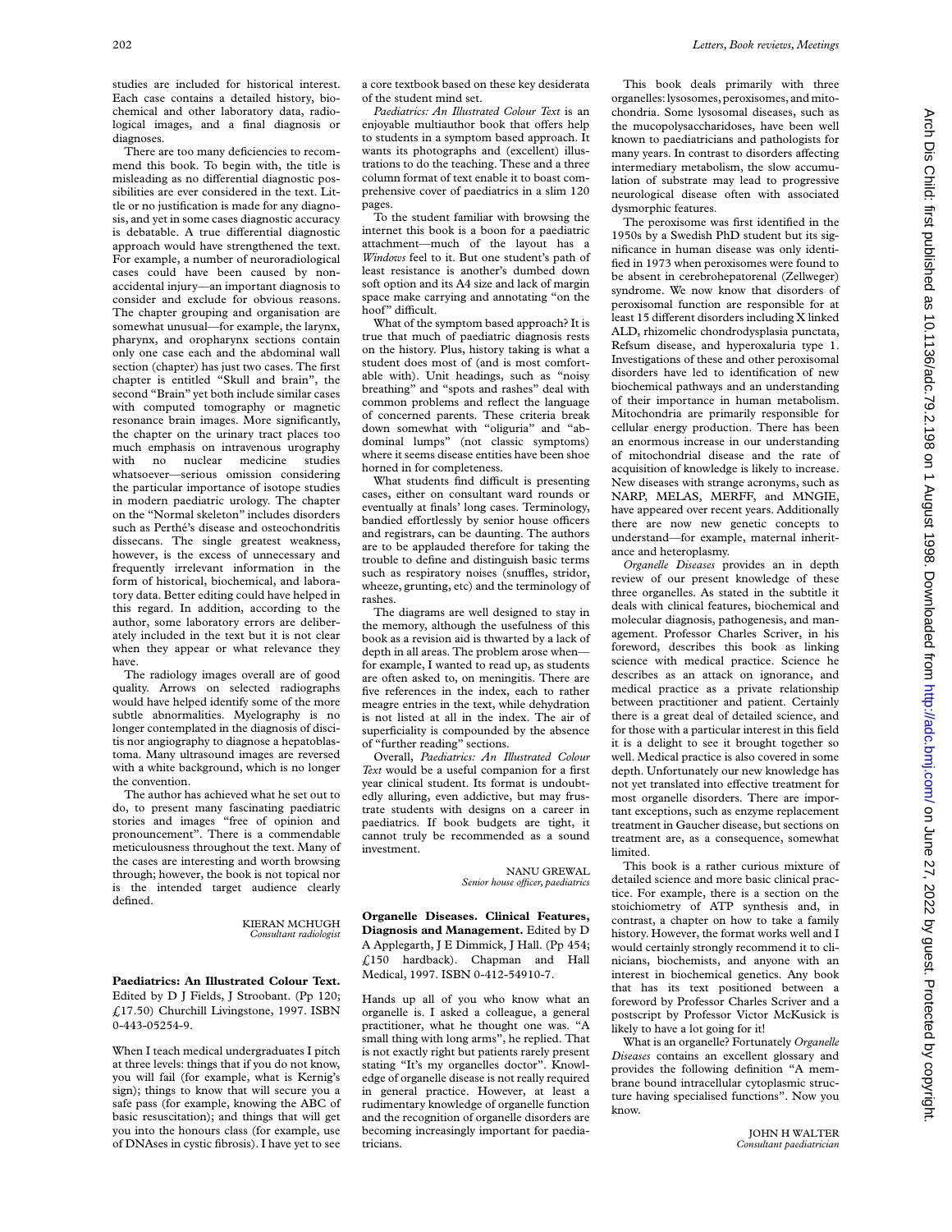studies are included for historical interest. Each case contains a detailed history, biochemical and other laboratory data, radiological images, and a final diagnosis or diagnoses.

There are too many deficiencies to recommend this book. To begin with, the title is misleading as no differential diagnostic possibilities are ever considered in the text. Little or no justification is made for any diagnosis, and yet in some cases diagnostic accuracy is debatable. A true differential diagnostic approach would have strengthened the text. For example, a number of neuroradiological cases could have been caused by nonaccidental injury—an important diagnosis to consider and exclude for obvious reasons. The chapter grouping and organisation are somewhat unusual—for example, the larynx, pharynx, and oropharynx sections contain only one case each and the abdominal wall section (chapter) has just two cases. The first chapter is entitled "Skull and brain", the second "Brain" yet both include similar cases with computed tomography or magnetic resonance brain images. More significantly, the chapter on the urinary tract places too much emphasis on intravenous urography with no nuclear medicine studies whatsoever—serious omission considering the particular importance of isotope studies in modern paediatric urology. The chapter on the "Normal skeleton" includes disorders such as Perthé's disease and osteochondritis dissecans. The single greatest weakness, however, is the excess of unnecessary and frequently irrelevant information in the form of historical, biochemical, and laboratory data. Better editing could have helped in this regard. In addition, according to the author, some laboratory errors are deliberately included in the text but it is not clear when they appear or what relevance they have.

The radiology images overall are of good quality. Arrows on selected radiographs would have helped identify some of the more subtle abnormalities. Myelography is no longer contemplated in the diagnosis of discitis nor angiography to diagnose a hepatoblastoma. Many ultrasound images are reversed with a white background, which is no longer the convention.

The author has achieved what he set out to do, to present many fascinating paediatric stories and images "free of opinion and pronouncement". There is a commendable meticulousness throughout the text. Many of the cases are interesting and worth browsing through; however, the book is not topical nor is the intended target audience clearly defined.

> KIERAN MCHUGH *Consultant radiologist*

**Paediatrics: An Illustrated Colour Text.** Edited by D J Fields, J Stroobant. (Pp 120; £17.50) Churchill Livingstone, 1997. ISBN 0-443-05254-9.

When I teach medical undergraduates I pitch at three levels: things that if you do not know, you will fail (for example, what is Kernig's sign); things to know that will secure you a safe pass (for example, knowing the ABC of basic resuscitation); and things that will get you into the honours class (for example, use of DNAses in cystic fibrosis). I have yet to see a core textbook based on these key desiderata of the student mind set.

*Paediatrics: An Illustrated Colour Text* is an enjoyable multiauthor book that offers help to students in a symptom based approach. It wants its photographs and (excellent) illustrations to do the teaching. These and a three column format of text enable it to boast comprehensive cover of paediatrics in a slim 120 pages.

To the student familiar with browsing the internet this book is a boon for a paediatric attachment—much of the layout has a *Windows* feel to it. But one student's path of least resistance is another's dumbed down soft option and its A4 size and lack of margin space make carrying and annotating "on the hoof" difficult.

What of the symptom based approach? It is true that much of paediatric diagnosis rests on the history. Plus, history taking is what a student does most of (and is most comfortable with). Unit headings, such as "noisy breathing" and "spots and rashes" deal with common problems and reflect the language of concerned parents. These criteria break down somewhat with "oliguria" and "abdominal lumps" (not classic symptoms) where it seems disease entities have been shoe horned in for completeness.

What students find difficult is presenting cases, either on consultant ward rounds or eventually at finals' long cases. Terminology, bandied effortlessly by senior house officers and registrars, can be daunting. The authors are to be applauded therefore for taking the trouble to define and distinguish basic terms such as respiratory noises (snuffles, stridor, wheeze, grunting, etc) and the terminology of rashes.

The diagrams are well designed to stay in the memory, although the usefulness of this book as a revision aid is thwarted by a lack of depth in all areas. The problem arose when for example, I wanted to read up, as students are often asked to, on meningitis. There are five references in the index, each to rather meagre entries in the text, while dehydration is not listed at all in the index. The air of superficiality is compounded by the absence of "further reading" sections.

Overall, *Paediatrics: An Illustrated Colour Text* would be a useful companion for a first year clinical student. Its format is undoubtedly alluring, even addictive, but may frustrate students with designs on a career in paediatrics. If book budgets are tight, it cannot truly be recommended as a sound investment.

> NANU GREWAL  $S$ *enior house officer, paediatrics*

**Organelle Diseases. Clinical Features, Diagnosis and Management.** Edited by D A Applegarth, J E Dimmick, J Hall. (Pp 454; £150 hardback). Chapman and Hall Medical, 1997. ISBN 0-412-54910-7.

Hands up all of you who know what an organelle is. I asked a colleague, a general practitioner, what he thought one was. "A small thing with long arms", he replied. That is not exactly right but patients rarely present stating "It's my organelles doctor". Knowledge of organelle disease is not really required in general practice. However, at least a rudimentary knowledge of organelle function and the recognition of organelle disorders are becoming increasingly important for paediatricians.

This book deals primarily with three organelles:lysosomes, peroxisomes, and mitochondria. Some lysosomal diseases, such as the mucopolysaccharidoses, have been well known to paediatricians and pathologists for many years. In contrast to disorders affecting intermediary metabolism, the slow accumulation of substrate may lead to progressive neurological disease often with associated dysmorphic features.

The peroxisome was first identified in the 1950s by a Swedish PhD student but its significance in human disease was only identified in 1973 when peroxisomes were found to be absent in cerebrohepatorenal (Zellweger) syndrome. We now know that disorders of peroxisomal function are responsible for at least 15 different disorders including X linked ALD, rhizomelic chondrodysplasia punctata, Refsum disease, and hyperoxaluria type 1. Investigations of these and other peroxisomal disorders have led to identification of new biochemical pathways and an understanding of their importance in human metabolism. Mitochondria are primarily responsible for cellular energy production. There has been an enormous increase in our understanding of mitochondrial disease and the rate of acquisition of knowledge is likely to increase. New diseases with strange acronyms, such as NARP, MELAS, MERFF, and MNGIE, have appeared over recent years. Additionally there are now new genetic concepts to understand—for example, maternal inheritance and heteroplasmy.

*Organelle Diseases* provides an in depth review of our present knowledge of these three organelles. As stated in the subtitle it deals with clinical features, biochemical and molecular diagnosis, pathogenesis, and management. Professor Charles Scriver, in his foreword, describes this book as linking science with medical practice. Science he describes as an attack on ignorance, and medical practice as a private relationship between practitioner and patient. Certainly there is a great deal of detailed science, and for those with a particular interest in this field it is a delight to see it brought together so well. Medical practice is also covered in some depth. Unfortunately our new knowledge has not yet translated into effective treatment for most organelle disorders. There are important exceptions, such as enzyme replacement treatment in Gaucher disease, but sections on treatment are, as a consequence, somewhat limited.

This book is a rather curious mixture of detailed science and more basic clinical practice. For example, there is a section on the stoichiometry of ATP synthesis and, in contrast, a chapter on how to take a family history. However, the format works well and I would certainly strongly recommend it to clinicians, biochemists, and anyone with an interest in biochemical genetics. Any book that has its text positioned between a foreword by Professor Charles Scriver and a postscript by Professor Victor McKusick is likely to have a lot going for it!

What is an organelle? Fortunately *Organelle Diseases* contains an excellent glossary and provides the following definition "A membrane bound intracellular cytoplasmic structure having specialised functions". Now you know.

> JOHN H WALTER *Consultant paediatrician*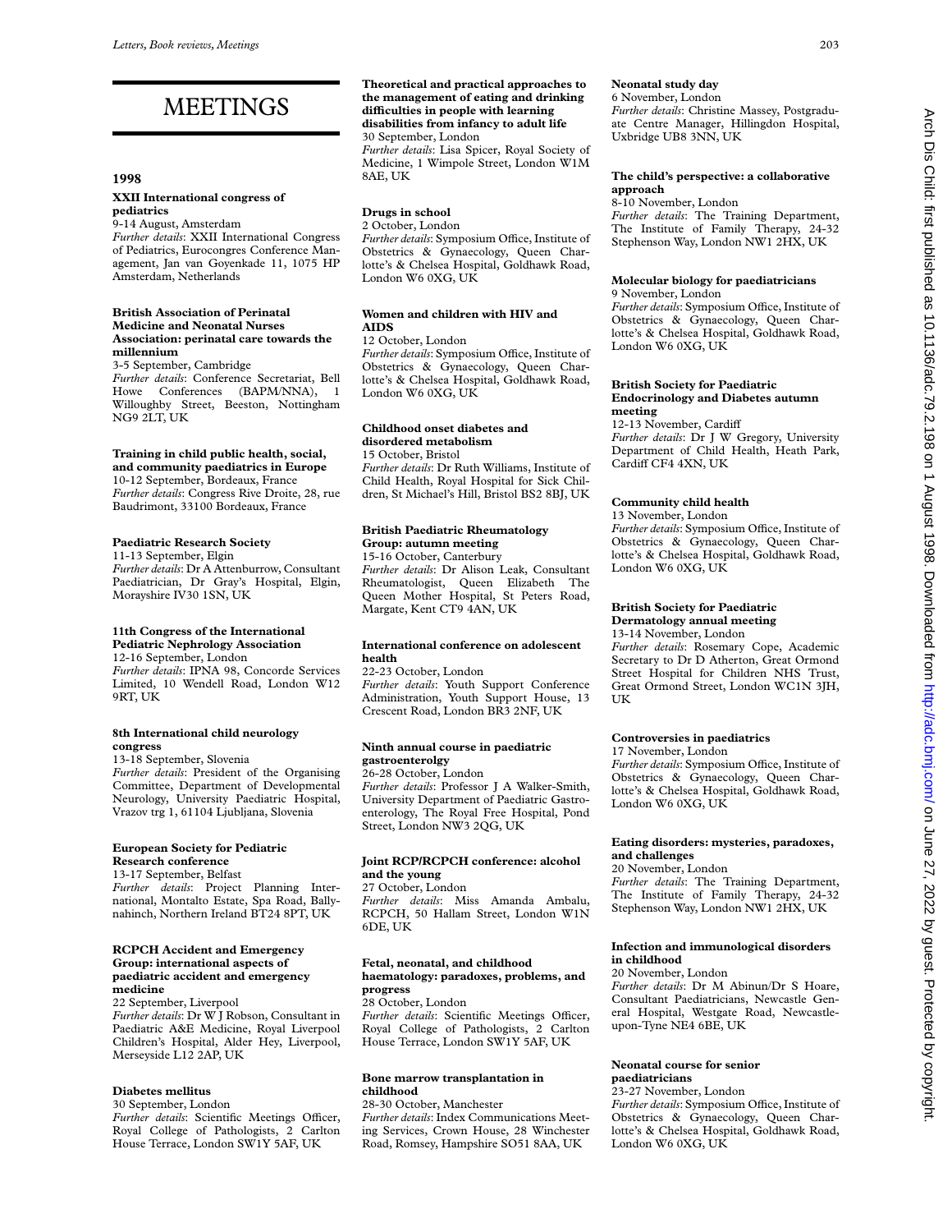## MEETINGS

## **1998**

#### **XXII International congress of pediatrics**

9-14 August, Amsterdam

*Further details*: XXII International Congress of Pediatrics, Eurocongres Conference Management, Jan van Goyenkade 11, 1075 HP Amsterdam, Netherlands

#### **British Association of Perinatal Medicine and Neonatal Nurses Association: perinatal care towards the millennium**

3-5 September, Cambridge

*Further details*: Conference Secretariat, Bell Howe Conferences (BAPM/NNA), 1 Willoughby Street, Beeston, Nottingham NG9 2LT, UK

#### **Training in child public health, social, and community paediatrics in Europe** 10-12 September, Bordeaux, France *Further details*: Congress Rive Droite, 28, rue

Baudrimont, 33100 Bordeaux, France

## **Paediatric Research Society**

11-13 September, Elgin *Further details*: Dr A Attenburrow, Consultant Paediatrician, Dr Gray's Hospital, Elgin, Morayshire IV30 1SN, UK

#### **11th Congress of the International Pediatric Nephrology Association** 12-16 September, London

*Further details*: IPNA 98, Concorde Services Limited, 10 Wendell Road, London W12 9RT, UK

## **8th International child neurology congress**

13-18 September, Slovenia *Further details*: President of the Organising Committee, Department of Developmental Neurology, University Paediatric Hospital, Vrazov trg 1, 61104 Ljubljana, Slovenia

#### **European Society for Pediatric Research conference**

13-17 September, Belfast *Further details*: Project Planning International, Montalto Estate, Spa Road, Ballynahinch, Northern Ireland BT24 8PT, UK

#### **RCPCH Accident and Emergency Group: international aspects of paediatric accident and emergency medicine**

22 September, Liverpool *Further details*: Dr W J Robson, Consultant in Paediatric A&E Medicine, Royal Liverpool Children's Hospital, Alder Hey, Liverpool, Merseyside L12 2AP, UK

#### **Diabetes mellitus**

30 September, London Further details: Scientific Meetings Officer, Royal College of Pathologists, 2 Carlton House Terrace, London SW1Y 5AF, UK

**Theoretical and practical approaches to the management of eating and drinking diYculties in people with learning disabilities from infancy to adult life** 30 September, London

*Further details*: Lisa Spicer, Royal Society of Medicine, 1 Wimpole Street, London W1M 8AE, UK

## **Drugs in school**

2 October, London Further details: Symposium Office, Institute of Obstetrics & Gynaecology, Queen Charlotte's & Chelsea Hospital, Goldhawk Road, London W6 0XG, UK

## **Women and children with HIV and AIDS**

12 October, London Further details: Symposium Office, Institute of Obstetrics & Gynaecology, Queen Charlotte's & Chelsea Hospital, Goldhawk Road, London W6 0XG, UK

## **Childhood onset diabetes and disordered metabolism**

15 October, Bristol *Further details*: Dr Ruth Williams, Institute of Child Health, Royal Hospital for Sick Children, St Michael's Hill, Bristol BS2 8BJ, UK

## **British Paediatric Rheumatology Group: autumn meeting**

15-16 October, Canterbury *Further details*: Dr Alison Leak, Consultant Rheumatologist, Queen Elizabeth The Queen Mother Hospital, St Peters Road, Margate, Kent CT9 4AN, UK

## **International conference on adolescent health**

22-23 October, London *Further details*: Youth Support Conference Administration, Youth Support House, 13 Crescent Road, London BR3 2NF, UK

## **Ninth annual course in paediatric gastroenterolgy**

26-28 October, London *Further details*: Professor J A Walker-Smith, University Department of Paediatric Gastroenterology, The Royal Free Hospital, Pond Street, London NW3 2QG, UK

#### **Joint RCP/RCPCH conference: alcohol and the young** 27 October, London

*Further details*: Miss Amanda Ambalu, RCPCH, 50 Hallam Street, London W1N 6DE, UK

#### **Fetal, neonatal, and childhood haematology: paradoxes, problems, and progress**

28 October, London Further details: Scientific Meetings Officer, Royal College of Pathologists, 2 Carlton House Terrace, London SW1Y 5AF, UK

#### **Bone marrow transplantation in childhood** 28-30 October, Manchester

*Further details*: Index Communications Meeting Services, Crown House, 28 Winchester Road, Romsey, Hampshire SO51 8AA, UK

### **Neonatal study day**

6 November, London *Further details*: Christine Massey, Postgraduate Centre Manager, Hillingdon Hospital, Uxbridge UB8 3NN, UK

## **The child's perspective: a collaborative approach**

8-10 November, London *Further details*: The Training Department, The Institute of Family Therapy, 24-32 Stephenson Way, London NW1 2HX, UK

## **Molecular biology for paediatricians**

9 November, London Further details: Symposium Office, Institute of Obstetrics & Gynaecology, Queen Charlotte's & Chelsea Hospital, Goldhawk Road, London W6 0XG, UK

#### **British Society for Paediatric Endocrinology and Diabetes autumn meeting**

12-13 November, Cardiff *Further details*: Dr J W Gregory, University Department of Child Health, Heath Park, Cardiff CF4 4XN, UK

## **Community child health**

13 November, London Further details: Symposium Office, Institute of Obstetrics & Gynaecology, Queen Charlotte's & Chelsea Hospital, Goldhawk Road, London W6 0XG, UK

#### **British Society for Paediatric Dermatology annual meeting**

13-14 November, London *Further details*: Rosemary Cope, Academic

Secretary to Dr D Atherton, Great Ormond Street Hospital for Children NHS Trust, Great Ormond Street, London WC1N 3JH, UK

## **Controversies in paediatrics**

17 November, London

Further details: Symposium Office, Institute of Obstetrics & Gynaecology, Queen Charlotte's & Chelsea Hospital, Goldhawk Road, London W6 0XG, UK

## **Eating disorders: mysteries, paradoxes, and challenges**

20 November, London

*Further details*: The Training Department, The Institute of Family Therapy, 24-32 Stephenson Way, London NW1 2HX, UK

## **Infection and immunological disorders in childhood**

20 November, London

*Further details*: Dr M Abinun/Dr S Hoare, Consultant Paediatricians, Newcastle General Hospital, Westgate Road, Newcastleupon-Tyne NE4 6BE, UK

## **Neonatal course for senior paediatricians**

23-27 November, London Further details: Symposium Office, Institute of Obstetrics & Gynaecology, Queen Charlotte's & Chelsea Hospital, Goldhawk Road, London W6 0XG, UK